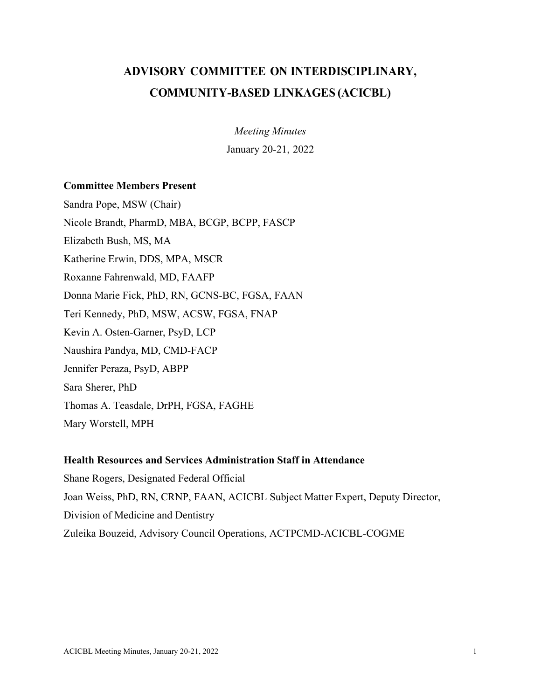# **ADVISORY COMMITTEE ON INTERDISCIPLINARY, COMMUNITY-BASED LINKAGES (ACICBL)**

*Meeting Minutes* January 20-21, 2022

### **Committee Members Present**

Sandra Pope, MSW (Chair) Nicole Brandt, PharmD, MBA, BCGP, BCPP, FASCP Elizabeth Bush, MS, MA Katherine Erwin, DDS, MPA, MSCR Roxanne Fahrenwald, MD, FAAFP Donna Marie Fick, PhD, RN, GCNS-BC, FGSA, FAAN Teri Kennedy, PhD, MSW, ACSW, FGSA, FNAP Kevin A. Osten-Garner, PsyD, LCP Naushira Pandya, MD, CMD-FACP Jennifer Peraza, PsyD, ABPP Sara Sherer, PhD Thomas A. Teasdale, DrPH, FGSA, FAGHE Mary Worstell, MPH

#### **Health Resources and Services Administration Staff in Attendance**

Shane Rogers, Designated Federal Official Joan Weiss, PhD, RN, CRNP, FAAN, ACICBL Subject Matter Expert, Deputy Director, Division of Medicine and Dentistry Zuleika Bouzeid, Advisory Council Operations, ACTPCMD-ACICBL-COGME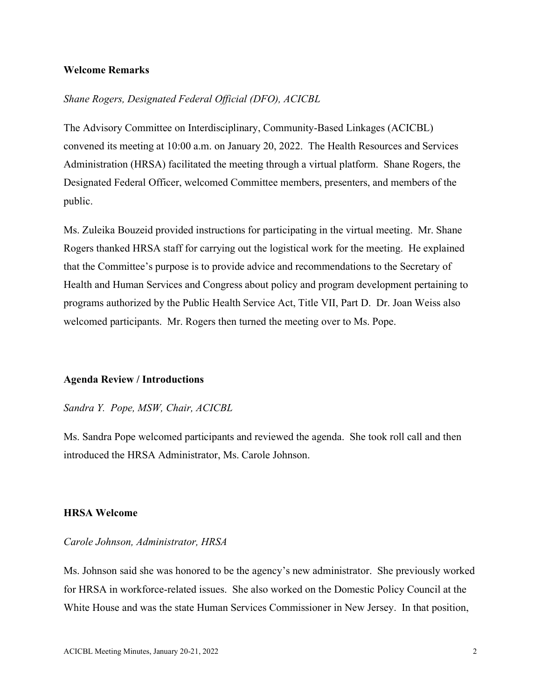#### **Welcome Remarks**

### *Shane Rogers, Designated Federal Official (DFO), ACICBL*

The Advisory Committee on Interdisciplinary, Community-Based Linkages (ACICBL) convened its meeting at 10:00 a.m. on January 20, 2022. The Health Resources and Services Administration (HRSA) facilitated the meeting through a virtual platform. Shane Rogers, the Designated Federal Officer, welcomed Committee members, presenters, and members of the public.

Ms. Zuleika Bouzeid provided instructions for participating in the virtual meeting. Mr. Shane Rogers thanked HRSA staff for carrying out the logistical work for the meeting. He explained that the Committee's purpose is to provide advice and recommendations to the Secretary of Health and Human Services and Congress about policy and program development pertaining to programs authorized by the Public Health Service Act, Title VII, Part D. Dr. Joan Weiss also welcomed participants. Mr. Rogers then turned the meeting over to Ms. Pope.

#### **Agenda Review / Introductions**

#### *Sandra Y. Pope, MSW, Chair, ACICBL*

Ms. Sandra Pope welcomed participants and reviewed the agenda. She took roll call and then introduced the HRSA Administrator, Ms. Carole Johnson.

#### **HRSA Welcome**

#### *Carole Johnson, Administrator, HRSA*

Ms. Johnson said she was honored to be the agency's new administrator. She previously worked for HRSA in workforce-related issues. She also worked on the Domestic Policy Council at the White House and was the state Human Services Commissioner in New Jersey. In that position,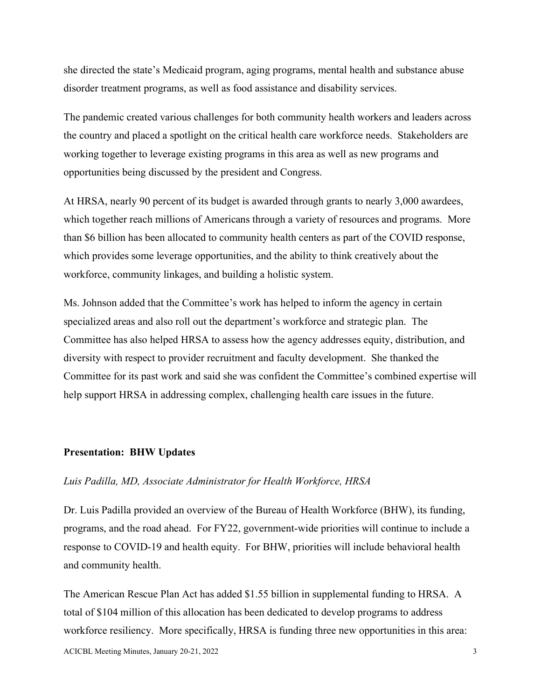she directed the state's Medicaid program, aging programs, mental health and substance abuse disorder treatment programs, as well as food assistance and disability services.

The pandemic created various challenges for both community health workers and leaders across the country and placed a spotlight on the critical health care workforce needs. Stakeholders are working together to leverage existing programs in this area as well as new programs and opportunities being discussed by the president and Congress.

At HRSA, nearly 90 percent of its budget is awarded through grants to nearly 3,000 awardees, which together reach millions of Americans through a variety of resources and programs. More than \$6 billion has been allocated to community health centers as part of the COVID response, which provides some leverage opportunities, and the ability to think creatively about the workforce, community linkages, and building a holistic system.

Ms. Johnson added that the Committee's work has helped to inform the agency in certain specialized areas and also roll out the department's workforce and strategic plan. The Committee has also helped HRSA to assess how the agency addresses equity, distribution, and diversity with respect to provider recruitment and faculty development. She thanked the Committee for its past work and said she was confident the Committee's combined expertise will help support HRSA in addressing complex, challenging health care issues in the future.

#### **Presentation: BHW Updates**

#### *Luis Padilla, MD, Associate Administrator for Health Workforce, HRSA*

Dr. Luis Padilla provided an overview of the Bureau of Health Workforce (BHW), its funding, programs, and the road ahead. For FY22, government-wide priorities will continue to include a response to COVID-19 and health equity. For BHW, priorities will include behavioral health and community health.

The American Rescue Plan Act has added \$1.55 billion in supplemental funding to HRSA. A total of \$104 million of this allocation has been dedicated to develop programs to address workforce resiliency. More specifically, HRSA is funding three new opportunities in this area: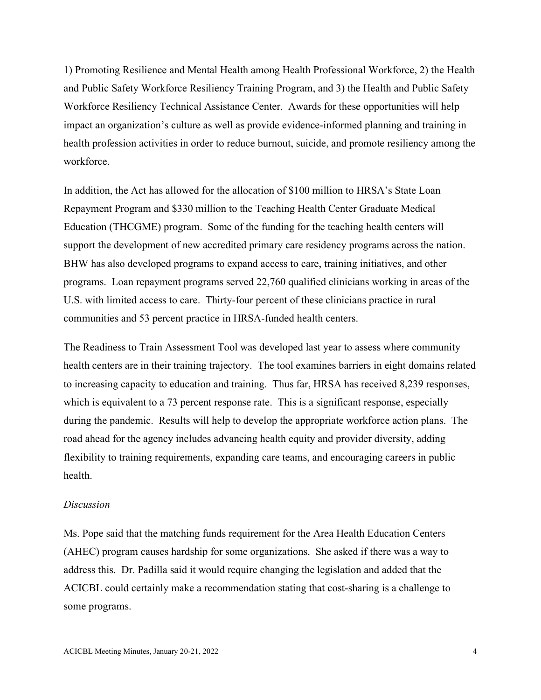1) Promoting Resilience and Mental Health among Health Professional Workforce, 2) the Health and Public Safety Workforce Resiliency Training Program, and 3) the Health and Public Safety Workforce Resiliency Technical Assistance Center. Awards for these opportunities will help impact an organization's culture as well as provide evidence-informed planning and training in health profession activities in order to reduce burnout, suicide, and promote resiliency among the workforce.

In addition, the Act has allowed for the allocation of \$100 million to HRSA's State Loan Repayment Program and \$330 million to the Teaching Health Center Graduate Medical Education (THCGME) program. Some of the funding for the teaching health centers will support the development of new accredited primary care residency programs across the nation. BHW has also developed programs to expand access to care, training initiatives, and other programs. Loan repayment programs served 22,760 qualified clinicians working in areas of the U.S. with limited access to care. Thirty-four percent of these clinicians practice in rural communities and 53 percent practice in HRSA-funded health centers.

The Readiness to Train Assessment Tool was developed last year to assess where community health centers are in their training trajectory. The tool examines barriers in eight domains related to increasing capacity to education and training. Thus far, HRSA has received 8,239 responses, which is equivalent to a 73 percent response rate. This is a significant response, especially during the pandemic. Results will help to develop the appropriate workforce action plans. The road ahead for the agency includes advancing health equity and provider diversity, adding flexibility to training requirements, expanding care teams, and encouraging careers in public health.

#### *Discussion*

Ms. Pope said that the matching funds requirement for the Area Health Education Centers (AHEC) program causes hardship for some organizations. She asked if there was a way to address this. Dr. Padilla said it would require changing the legislation and added that the ACICBL could certainly make a recommendation stating that cost-sharing is a challenge to some programs.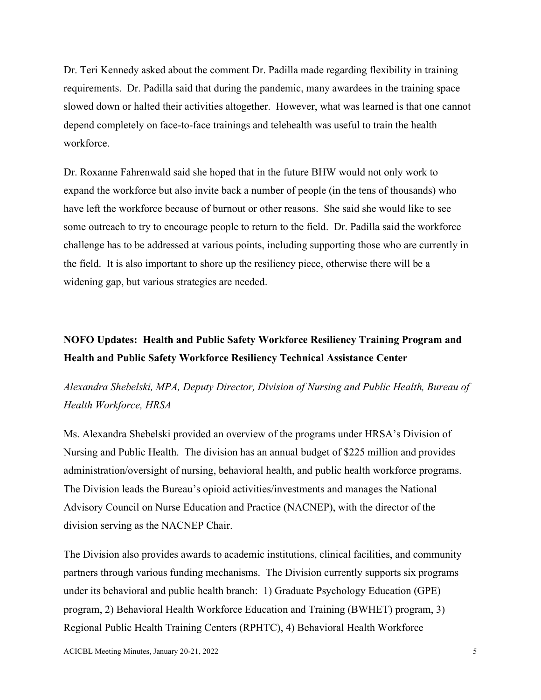Dr. Teri Kennedy asked about the comment Dr. Padilla made regarding flexibility in training requirements. Dr. Padilla said that during the pandemic, many awardees in the training space slowed down or halted their activities altogether. However, what was learned is that one cannot depend completely on face-to-face trainings and telehealth was useful to train the health workforce.

Dr. Roxanne Fahrenwald said she hoped that in the future BHW would not only work to expand the workforce but also invite back a number of people (in the tens of thousands) who have left the workforce because of burnout or other reasons. She said she would like to see some outreach to try to encourage people to return to the field. Dr. Padilla said the workforce challenge has to be addressed at various points, including supporting those who are currently in the field. It is also important to shore up the resiliency piece, otherwise there will be a widening gap, but various strategies are needed.

## **NOFO Updates: Health and Public Safety Workforce Resiliency Training Program and Health and Public Safety Workforce Resiliency Technical Assistance Center**

## *Alexandra Shebelski, MPA, Deputy Director, Division of Nursing and Public Health, Bureau of Health Workforce, HRSA*

Ms. Alexandra Shebelski provided an overview of the programs under HRSA's Division of Nursing and Public Health. The division has an annual budget of \$225 million and provides administration/oversight of nursing, behavioral health, and public health workforce programs. The Division leads the Bureau's opioid activities/investments and manages the National Advisory Council on Nurse Education and Practice (NACNEP), with the director of the division serving as the NACNEP Chair.

The Division also provides awards to academic institutions, clinical facilities, and community partners through various funding mechanisms. The Division currently supports six programs under its behavioral and public health branch: 1) Graduate Psychology Education (GPE) program, 2) Behavioral Health Workforce Education and Training (BWHET) program, 3) Regional Public Health Training Centers (RPHTC), 4) Behavioral Health Workforce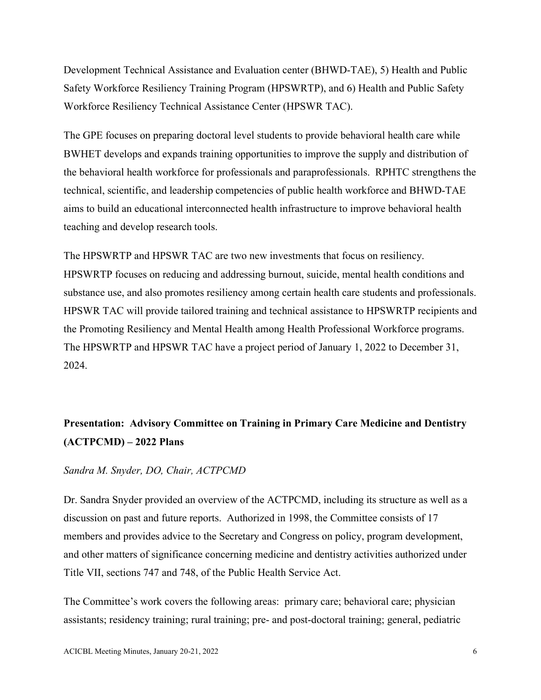Development Technical Assistance and Evaluation center (BHWD-TAE), 5) Health and Public Safety Workforce Resiliency Training Program (HPSWRTP), and 6) Health and Public Safety Workforce Resiliency Technical Assistance Center (HPSWR TAC).

The GPE focuses on preparing doctoral level students to provide behavioral health care while BWHET develops and expands training opportunities to improve the supply and distribution of the behavioral health workforce for professionals and paraprofessionals. RPHTC strengthens the technical, scientific, and leadership competencies of public health workforce and BHWD-TAE aims to build an educational interconnected health infrastructure to improve behavioral health teaching and develop research tools.

The HPSWRTP and HPSWR TAC are two new investments that focus on resiliency. HPSWRTP focuses on reducing and addressing burnout, suicide, mental health conditions and substance use, and also promotes resiliency among certain health care students and professionals. HPSWR TAC will provide tailored training and technical assistance to HPSWRTP recipients and the Promoting Resiliency and Mental Health among Health Professional Workforce programs. The HPSWRTP and HPSWR TAC have a project period of January 1, 2022 to December 31, 2024.

## **Presentation: Advisory Committee on Training in Primary Care Medicine and Dentistry (ACTPCMD) – 2022 Plans**

#### *Sandra M. Snyder, DO, Chair, ACTPCMD*

Dr. Sandra Snyder provided an overview of the ACTPCMD, including its structure as well as a discussion on past and future reports. Authorized in 1998, the Committee consists of 17 members and provides advice to the Secretary and Congress on policy, program development, and other matters of significance concerning medicine and dentistry activities authorized under Title VII, sections 747 and 748, of the Public Health Service Act.

The Committee's work covers the following areas: primary care; behavioral care; physician assistants; residency training; rural training; pre- and post-doctoral training; general, pediatric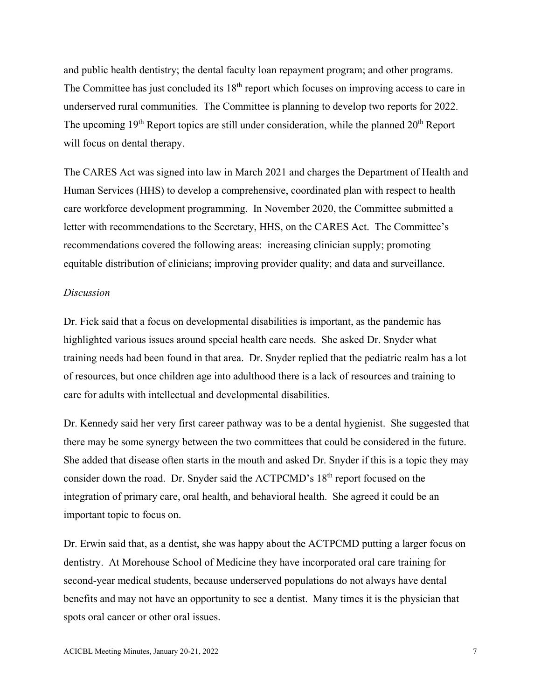and public health dentistry; the dental faculty loan repayment program; and other programs. The Committee has just concluded its  $18<sup>th</sup>$  report which focuses on improving access to care in underserved rural communities. The Committee is planning to develop two reports for 2022. The upcoming  $19<sup>th</sup>$  Report topics are still under consideration, while the planned  $20<sup>th</sup>$  Report will focus on dental therapy.

The CARES Act was signed into law in March 2021 and charges the Department of Health and Human Services (HHS) to develop a comprehensive, coordinated plan with respect to health care workforce development programming. In November 2020, the Committee submitted a letter with recommendations to the Secretary, HHS, on the CARES Act. The Committee's recommendations covered the following areas: increasing clinician supply; promoting equitable distribution of clinicians; improving provider quality; and data and surveillance.

#### *Discussion*

Dr. Fick said that a focus on developmental disabilities is important, as the pandemic has highlighted various issues around special health care needs. She asked Dr. Snyder what training needs had been found in that area. Dr. Snyder replied that the pediatric realm has a lot of resources, but once children age into adulthood there is a lack of resources and training to care for adults with intellectual and developmental disabilities.

Dr. Kennedy said her very first career pathway was to be a dental hygienist. She suggested that there may be some synergy between the two committees that could be considered in the future. She added that disease often starts in the mouth and asked Dr. Snyder if this is a topic they may consider down the road. Dr. Snyder said the ACTPCMD's 18<sup>th</sup> report focused on the integration of primary care, oral health, and behavioral health. She agreed it could be an important topic to focus on.

Dr. Erwin said that, as a dentist, she was happy about the ACTPCMD putting a larger focus on dentistry. At Morehouse School of Medicine they have incorporated oral care training for second-year medical students, because underserved populations do not always have dental benefits and may not have an opportunity to see a dentist. Many times it is the physician that spots oral cancer or other oral issues.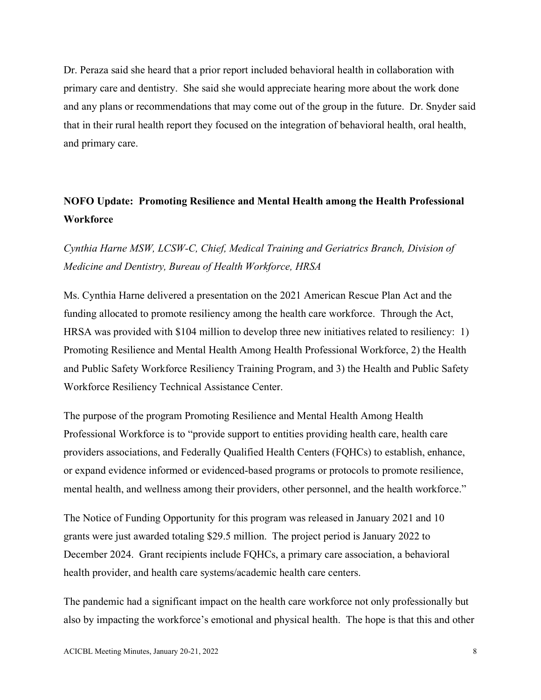Dr. Peraza said she heard that a prior report included behavioral health in collaboration with primary care and dentistry. She said she would appreciate hearing more about the work done and any plans or recommendations that may come out of the group in the future. Dr. Snyder said that in their rural health report they focused on the integration of behavioral health, oral health, and primary care.

## **NOFO Update: Promoting Resilience and Mental Health among the Health Professional Workforce**

## *Cynthia Harne MSW, LCSW-C, Chief, Medical Training and Geriatrics Branch, Division of Medicine and Dentistry, Bureau of Health Workforce, HRSA*

Ms. Cynthia Harne delivered a presentation on the 2021 American Rescue Plan Act and the funding allocated to promote resiliency among the health care workforce. Through the Act, HRSA was provided with \$104 million to develop three new initiatives related to resiliency: 1) Promoting Resilience and Mental Health Among Health Professional Workforce, 2) the Health and Public Safety Workforce Resiliency Training Program, and 3) the Health and Public Safety Workforce Resiliency Technical Assistance Center.

The purpose of the program Promoting Resilience and Mental Health Among Health Professional Workforce is to "provide support to entities providing health care, health care providers associations, and Federally Qualified Health Centers (FQHCs) to establish, enhance, or expand evidence informed or evidenced-based programs or protocols to promote resilience, mental health, and wellness among their providers, other personnel, and the health workforce."

The Notice of Funding Opportunity for this program was released in January 2021 and 10 grants were just awarded totaling \$29.5 million. The project period is January 2022 to December 2024. Grant recipients include FQHCs, a primary care association, a behavioral health provider, and health care systems/academic health care centers.

The pandemic had a significant impact on the health care workforce not only professionally but also by impacting the workforce's emotional and physical health. The hope is that this and other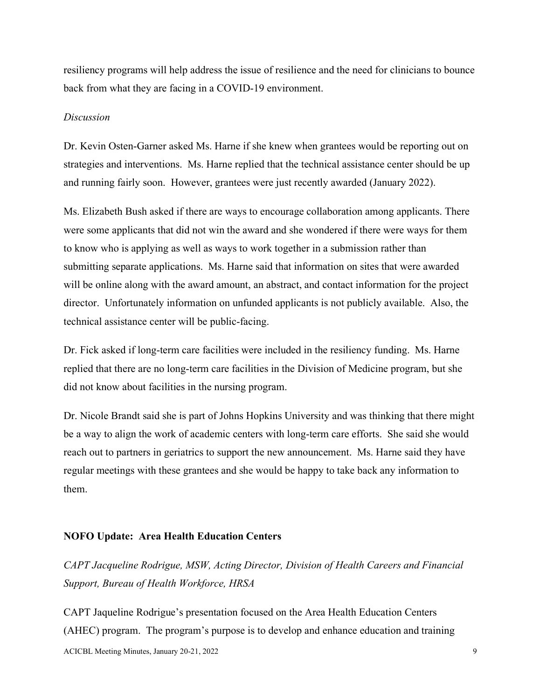resiliency programs will help address the issue of resilience and the need for clinicians to bounce back from what they are facing in a COVID-19 environment.

#### *Discussion*

Dr. Kevin Osten-Garner asked Ms. Harne if she knew when grantees would be reporting out on strategies and interventions. Ms. Harne replied that the technical assistance center should be up and running fairly soon. However, grantees were just recently awarded (January 2022).

Ms. Elizabeth Bush asked if there are ways to encourage collaboration among applicants. There were some applicants that did not win the award and she wondered if there were ways for them to know who is applying as well as ways to work together in a submission rather than submitting separate applications. Ms. Harne said that information on sites that were awarded will be online along with the award amount, an abstract, and contact information for the project director. Unfortunately information on unfunded applicants is not publicly available. Also, the technical assistance center will be public-facing.

Dr. Fick asked if long-term care facilities were included in the resiliency funding. Ms. Harne replied that there are no long-term care facilities in the Division of Medicine program, but she did not know about facilities in the nursing program.

Dr. Nicole Brandt said she is part of Johns Hopkins University and was thinking that there might be a way to align the work of academic centers with long-term care efforts. She said she would reach out to partners in geriatrics to support the new announcement. Ms. Harne said they have regular meetings with these grantees and she would be happy to take back any information to them.

#### **NOFO Update: Area Health Education Centers**

*CAPT Jacqueline Rodrigue, MSW, Acting Director, Division of Health Careers and Financial Support, Bureau of Health Workforce, HRSA*

ACICBL Meeting Minutes, January 20-21, 2022 9 CAPT Jaqueline Rodrigue's presentation focused on the Area Health Education Centers (AHEC) program. The program's purpose is to develop and enhance education and training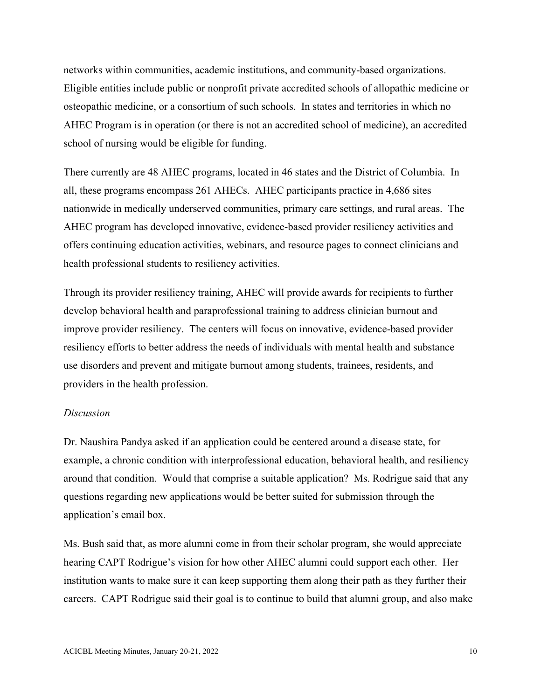networks within communities, academic institutions, and community-based organizations. Eligible entities include public or nonprofit private accredited schools of allopathic medicine or osteopathic medicine, or a consortium of such schools. In states and territories in which no AHEC Program is in operation (or there is not an accredited school of medicine), an accredited school of nursing would be eligible for funding.

There currently are 48 AHEC programs, located in 46 states and the District of Columbia. In all, these programs encompass 261 AHECs. AHEC participants practice in 4,686 sites nationwide in medically underserved communities, primary care settings, and rural areas. The AHEC program has developed innovative, evidence-based provider resiliency activities and offers continuing education activities, webinars, and resource pages to connect clinicians and health professional students to resiliency activities.

Through its provider resiliency training, AHEC will provide awards for recipients to further develop behavioral health and paraprofessional training to address clinician burnout and improve provider resiliency. The centers will focus on innovative, evidence-based provider resiliency efforts to better address the needs of individuals with mental health and substance use disorders and prevent and mitigate burnout among students, trainees, residents, and providers in the health profession.

#### *Discussion*

Dr. Naushira Pandya asked if an application could be centered around a disease state, for example, a chronic condition with interprofessional education, behavioral health, and resiliency around that condition. Would that comprise a suitable application? Ms. Rodrigue said that any questions regarding new applications would be better suited for submission through the application's email box.

Ms. Bush said that, as more alumni come in from their scholar program, she would appreciate hearing CAPT Rodrigue's vision for how other AHEC alumni could support each other. Her institution wants to make sure it can keep supporting them along their path as they further their careers. CAPT Rodrigue said their goal is to continue to build that alumni group, and also make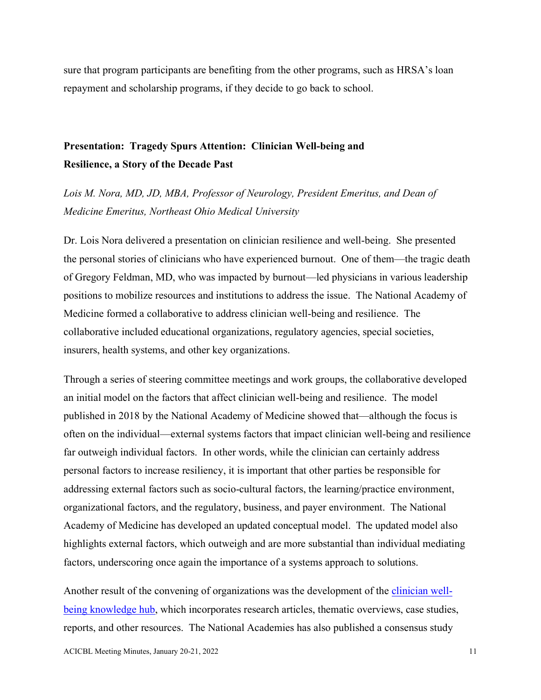sure that program participants are benefiting from the other programs, such as HRSA's loan repayment and scholarship programs, if they decide to go back to school.

## **Presentation: Tragedy Spurs Attention: Clinician Well-being and Resilience, a Story of the Decade Past**

*Lois M. Nora, MD, JD, MBA, Professor of Neurology, President Emeritus, and Dean of Medicine Emeritus, Northeast Ohio Medical University*

Dr. Lois Nora delivered a presentation on clinician resilience and well-being. She presented the personal stories of clinicians who have experienced burnout. One of them—the tragic death of Gregory Feldman, MD, who was impacted by burnout—led physicians in various leadership positions to mobilize resources and institutions to address the issue. The National Academy of Medicine formed a collaborative to address clinician well-being and resilience. The collaborative included educational organizations, regulatory agencies, special societies, insurers, health systems, and other key organizations.

Through a series of steering committee meetings and work groups, the collaborative developed an initial model on the factors that affect clinician well-being and resilience. The model published in 2018 by the National Academy of Medicine showed that—although the focus is often on the individual—external systems factors that impact clinician well-being and resilience far outweigh individual factors. In other words, while the clinician can certainly address personal factors to increase resiliency, it is important that other parties be responsible for addressing external factors such as socio-cultural factors, the learning/practice environment, organizational factors, and the regulatory, business, and payer environment. The National Academy of Medicine has developed an updated conceptual model. The updated model also highlights external factors, which outweigh and are more substantial than individual mediating factors, underscoring once again the importance of a systems approach to solutions.

Another result of the convening of organizations was the development of the [clinician well](about:blank)[being knowledge hub,](about:blank) which incorporates research articles, thematic overviews, case studies, reports, and other resources. The National Academies has also published a consensus study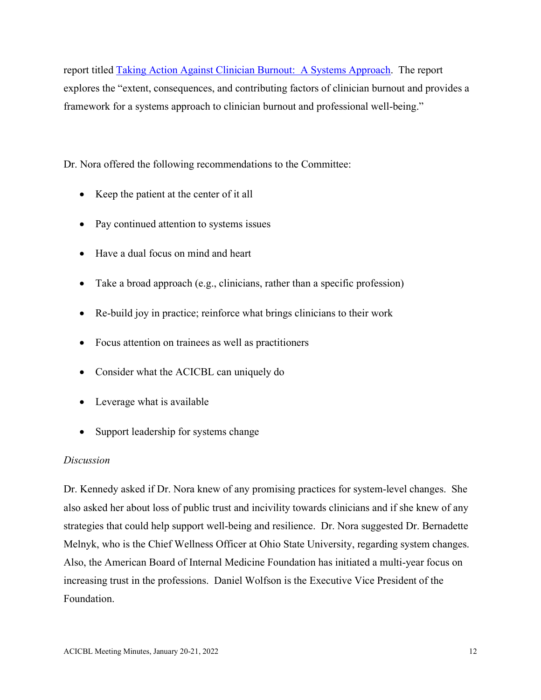report titled [Taking Action Against Clinician Burnout: A Systems Approach.](about:blank) The report explores the "extent, consequences, and contributing factors of clinician burnout and provides a framework for a systems approach to clinician burnout and professional well-being."

Dr. Nora offered the following recommendations to the Committee:

- Keep the patient at the center of it all
- Pay continued attention to systems issues
- Have a dual focus on mind and heart
- Take a broad approach (e.g., clinicians, rather than a specific profession)
- Re-build joy in practice; reinforce what brings clinicians to their work
- Focus attention on trainees as well as practitioners
- Consider what the ACICBL can uniquely do
- Leverage what is available
- Support leadership for systems change

### *Discussion*

Dr. Kennedy asked if Dr. Nora knew of any promising practices for system-level changes. She also asked her about loss of public trust and incivility towards clinicians and if she knew of any strategies that could help support well-being and resilience. Dr. Nora suggested Dr. Bernadette Melnyk, who is the Chief Wellness Officer at Ohio State University, regarding system changes. Also, the American Board of Internal Medicine Foundation has initiated a multi-year focus on increasing trust in the professions. Daniel Wolfson is the Executive Vice President of the Foundation.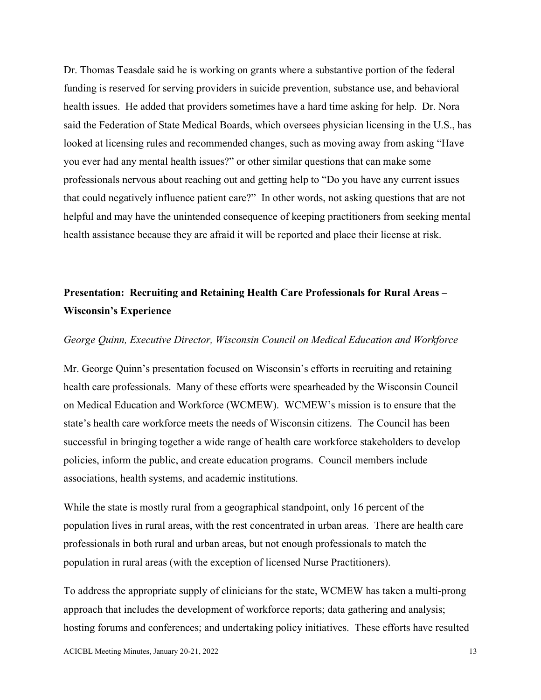Dr. Thomas Teasdale said he is working on grants where a substantive portion of the federal funding is reserved for serving providers in suicide prevention, substance use, and behavioral health issues. He added that providers sometimes have a hard time asking for help. Dr. Nora said the Federation of State Medical Boards, which oversees physician licensing in the U.S., has looked at licensing rules and recommended changes, such as moving away from asking "Have you ever had any mental health issues?" or other similar questions that can make some professionals nervous about reaching out and getting help to "Do you have any current issues that could negatively influence patient care?" In other words, not asking questions that are not helpful and may have the unintended consequence of keeping practitioners from seeking mental health assistance because they are afraid it will be reported and place their license at risk.

## **Presentation: Recruiting and Retaining Health Care Professionals for Rural Areas – Wisconsin's Experience**

#### *George Quinn, Executive Director, Wisconsin Council on Medical Education and Workforce*

Mr. George Quinn's presentation focused on Wisconsin's efforts in recruiting and retaining health care professionals. Many of these efforts were spearheaded by the Wisconsin Council on Medical Education and Workforce (WCMEW). WCMEW's mission is to ensure that the state's health care workforce meets the needs of Wisconsin citizens. The Council has been successful in bringing together a wide range of health care workforce stakeholders to develop policies, inform the public, and create education programs. Council members include associations, health systems, and academic institutions.

While the state is mostly rural from a geographical standpoint, only 16 percent of the population lives in rural areas, with the rest concentrated in urban areas. There are health care professionals in both rural and urban areas, but not enough professionals to match the population in rural areas (with the exception of licensed Nurse Practitioners).

To address the appropriate supply of clinicians for the state, WCMEW has taken a multi-prong approach that includes the development of workforce reports; data gathering and analysis; hosting forums and conferences; and undertaking policy initiatives. These efforts have resulted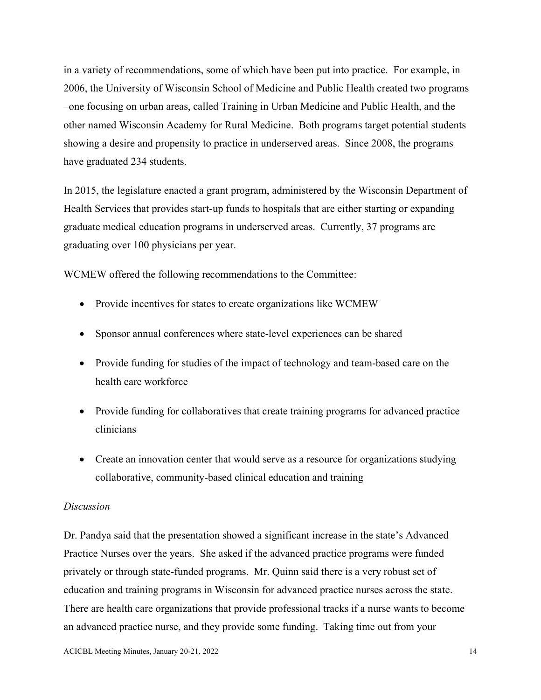in a variety of recommendations, some of which have been put into practice. For example, in 2006, the University of Wisconsin School of Medicine and Public Health created two programs –one focusing on urban areas, called Training in Urban Medicine and Public Health, and the other named Wisconsin Academy for Rural Medicine. Both programs target potential students showing a desire and propensity to practice in underserved areas. Since 2008, the programs have graduated 234 students.

In 2015, the legislature enacted a grant program, administered by the Wisconsin Department of Health Services that provides start-up funds to hospitals that are either starting or expanding graduate medical education programs in underserved areas. Currently, 37 programs are graduating over 100 physicians per year.

WCMEW offered the following recommendations to the Committee:

- Provide incentives for states to create organizations like WCMEW
- Sponsor annual conferences where state-level experiences can be shared
- Provide funding for studies of the impact of technology and team-based care on the health care workforce
- Provide funding for collaboratives that create training programs for advanced practice clinicians
- Create an innovation center that would serve as a resource for organizations studying collaborative, community-based clinical education and training

#### *Discussion*

Dr. Pandya said that the presentation showed a significant increase in the state's Advanced Practice Nurses over the years. She asked if the advanced practice programs were funded privately or through state-funded programs. Mr. Quinn said there is a very robust set of education and training programs in Wisconsin for advanced practice nurses across the state. There are health care organizations that provide professional tracks if a nurse wants to become an advanced practice nurse, and they provide some funding. Taking time out from your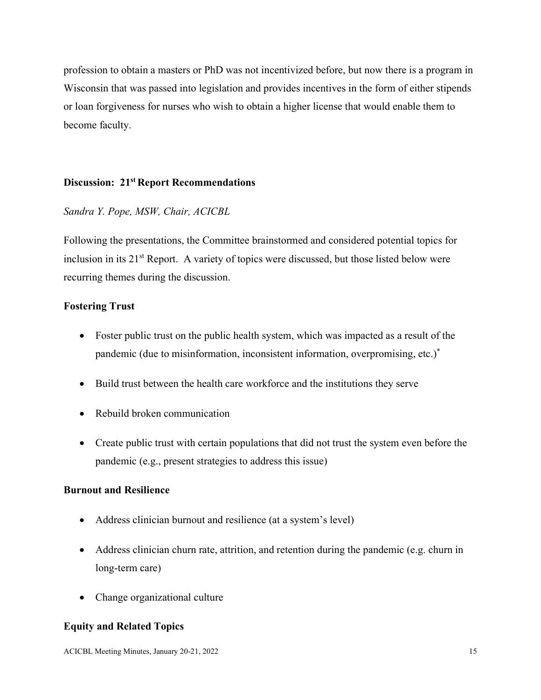profession to obtain a masters or PhD was not incentivized before, but now there is a program in Wisconsin that was passed into legislation and provides incentives in the form of either stipends or loan forgiveness for nurses who wish to obtain a higher license that would enable them to become faculty.

### **Discussion: 21st Report Recommendations**

### *Sandra Y. Pope, MSW, Chair, ACICBL*

Following the presentations, the Committee brainstormed and considered potential topics for inclusion in its  $21<sup>st</sup>$  Report. A variety of topics were discussed, but those listed below were recurring themes during the discussion.

### **Fostering Trust**

- Foster public trust on the public health system, which was impacted as a result of the pandemic (due to misinformation, inconsistent information, overpromising, etc.)\*
- Build trust between the health care workforce and the institutions they serve
- Rebuild broken communication
- Create public trust with certain populations that did not trust the system even before the pandemic (e.g., present strategies to address this issue)

#### **Burnout and Resilience**

- Address clinician burnout and resilience (at a system's level)
- Address clinician churn rate, attrition, and retention during the pandemic (e.g. churn in long-term care)
- Change organizational culture

## **Equity and Related Topics**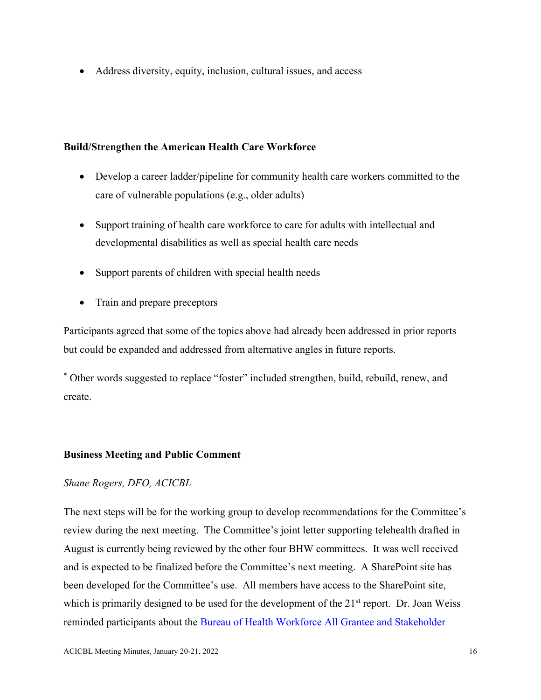• Address diversity, equity, inclusion, cultural issues, and access

## **Build/Strengthen the American Health Care Workforce**

- Develop a career ladder/pipeline for community health care workers committed to the care of vulnerable populations (e.g., older adults)
- Support training of health care workforce to care for adults with intellectual and developmental disabilities as well as special health care needs
- Support parents of children with special health needs
- Train and prepare preceptors

Participants agreed that some of the topics above had already been addressed in prior reports but could be expanded and addressed from alternative angles in future reports.

\* Other words suggested to replace "foster" included strengthen, build, rebuild, renew, and create.

## **Business Meeting and Public Comment**

## *Shane Rogers, DFO, ACICBL*

The next steps will be for the working group to develop recommendations for the Committee's review during the next meeting. The Committee's joint letter supporting telehealth drafted in August is currently being reviewed by the other four BHW committees. It was well received and is expected to be finalized before the Committee's next meeting. A SharePoint site has been developed for the Committee's use. All members have access to the SharePoint site, which is primarily designed to be used for the development of the 21<sup>st</sup> report. Dr. Joan Weiss reminded participants about the [Bureau of Health Workforce All Grantee and Stakeholder](about:blank)